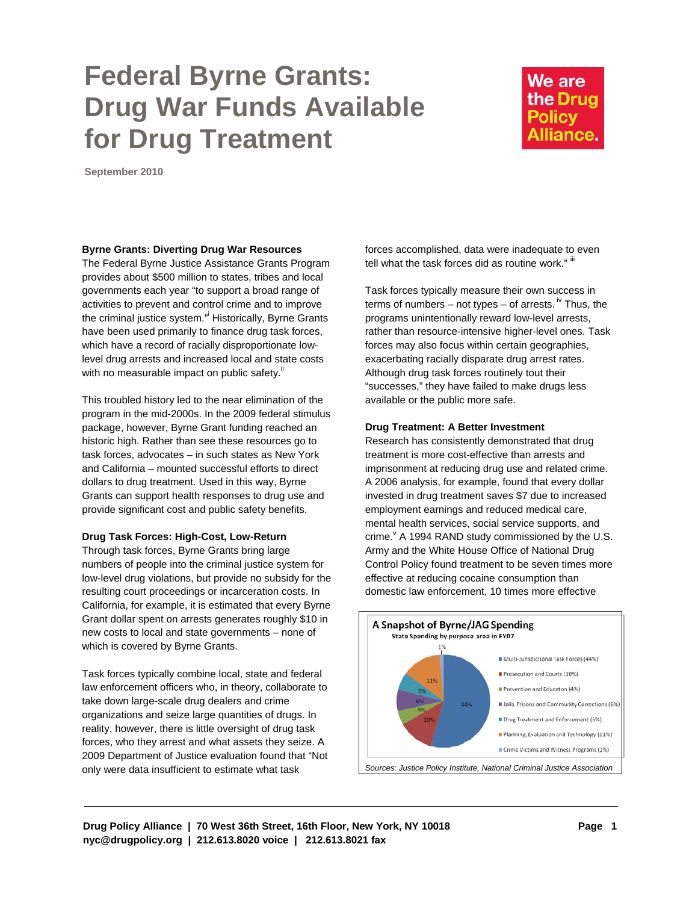# **Federal Byrne Grants: Drug War Funds Available for Drug Treatment**

# We are the Drug **Policy** Alliance.

**September 2010** 

#### **Byrne Grants: Diverting Drug War Resources**

The Federal Byrne Justice Assistance Grants Program provides about \$500 million to states, tribes and local governments each year "to support a broad range of activities to prevent and control crime and to improve the criminal justice system." Historically, Byrne Grants have been used primarily to finance drug task forces, which have a record of racially disproportionate lowlevel drug arrests and increased local and state costs with no measurable impact on public safety.<sup>ii</sup>

This troubled history led to the near elimination of the program in the mid-2000s. In the 2009 federal stimulus package, however, Byrne Grant funding reached an historic high. Rather than see these resources go to task forces, advocates – in such states as New York and California – mounted successful efforts to direct dollars to drug treatment. Used in this way, Byrne Grants can support health responses to drug use and provide significant cost and public safety benefits.

## **Drug Task Forces: High-Cost, Low-Return**

Through task forces, Byrne Grants bring large numbers of people into the criminal justice system for low-level drug violations, but provide no subsidy for the resulting court proceedings or incarceration costs. In California, for example, it is estimated that every Byrne Grant dollar spent on arrests generates roughly \$10 in new costs to local and state governments – none of which is covered by Byrne Grants.

Task forces typically combine local, state and federal law enforcement officers who, in theory, collaborate to take down large-scale drug dealers and crime organizations and seize large quantities of drugs. In reality, however, there is little oversight of drug task forces, who they arrest and what assets they seize. A 2009 Department of Justice evaluation found that "Not only were data insufficient to estimate what task

forces accomplished, data were inadequate to even tell what the task forces did as routine work."  $\mathbb{I}$ 

Task forces typically measure their own success in terms of numbers – not types – of arrests.  $\sqrt[N]{ }$  Thus, the programs unintentionally reward low-level arrests, rather than resource-intensive higher-level ones. Task forces may also focus within certain geographies, exacerbating racially disparate drug arrest rates. Although drug task forces routinely tout their "successes," they have failed to make drugs less available or the public more safe.

#### **Drug Treatment: A Better Investment**

Research has consistently demonstrated that drug treatment is more cost-effective than arrests and imprisonment at reducing drug use and related crime. A 2006 analysis, for example, found that every dollar invested in drug treatment saves \$7 due to increased employment earnings and reduced medical care, mental health services, social service supports, and crime. $\theta$  A 1994 RAND study commissioned by the U.S. Army and the White House Office of National Drug Control Policy found treatment to be seven times more effective at reducing cocaine consumption than domestic law enforcement, 10 times more effective